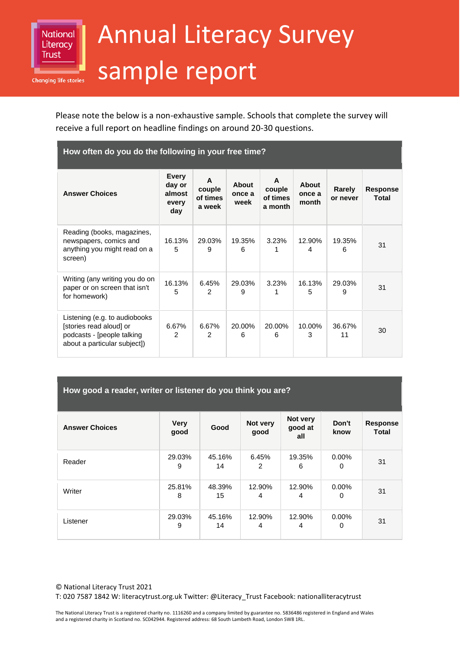

## Annual Literacy Survey sample report

Please note the below is a non-exhaustive sample. Schools that complete the survey will receive a full report on headline findings on around 20-30 questions.

| How often do you do the following in your free time?                                                                   |                                                  |                                   |                         |                                    |                          |                    |                          |
|------------------------------------------------------------------------------------------------------------------------|--------------------------------------------------|-----------------------------------|-------------------------|------------------------------------|--------------------------|--------------------|--------------------------|
| <b>Answer Choices</b>                                                                                                  | <b>Every</b><br>day or<br>almost<br>every<br>day | A<br>couple<br>of times<br>a week | About<br>once a<br>week | A<br>couple<br>of times<br>a month | About<br>once a<br>month | Rarely<br>or never | <b>Response</b><br>Total |
| Reading (books, magazines,<br>newspapers, comics and<br>anything you might read on a<br>screen)                        | 16.13%<br>5                                      | 29.03%<br>9                       | 19.35%<br>6             | 3.23%                              | 12.90%<br>4              | 19.35%<br>6        | 31                       |
| Writing (any writing you do on<br>paper or on screen that isn't<br>for homework)                                       | 16.13%<br>5                                      | 6.45%<br>$\mathcal{P}$            | 29.03%<br>9             | 3.23%                              | 16.13%<br>5              | 29.03%<br>9        | 31                       |
| Listening (e.g. to audiobooks<br>[stories read aloud] or<br>podcasts - [people talking<br>about a particular subject]) | 6.67%<br>$\mathcal{P}$                           | 6.67%<br>$\mathcal{P}$            | 20.00%<br>6             | 20.00%<br>6                        | 10.00%<br>3              | 36.67%<br>11       | 30                       |

| How good a reader, writer or listener do you think you are? |  |
|-------------------------------------------------------------|--|
|                                                             |  |
|                                                             |  |
|                                                             |  |

| <b>Answer Choices</b> | <b>Very</b><br>good | Good         | Not very<br>good | Not very<br>good at<br>all | Don't<br>know | <b>Response</b><br><b>Total</b> |
|-----------------------|---------------------|--------------|------------------|----------------------------|---------------|---------------------------------|
| Reader                | 29.03%<br>9         | 45.16%<br>14 | 6.45%<br>2       | 19.35%<br>6                | $0.00\%$<br>0 | 31                              |
| Writer                | 25.81%<br>8         | 48.39%<br>15 | 12.90%<br>4      | 12.90%<br>4                | $0.00\%$<br>0 | 31                              |
| Listener              | 29.03%<br>9         | 45.16%<br>14 | 12.90%<br>4      | 12.90%<br>4                | $0.00\%$<br>0 | 31                              |

© National Literacy Trust 2021 T: 020 7587 1842 W: literacytrust.org.uk Twitter: @Literacy\_Trust Facebook: nationalliteracytrust